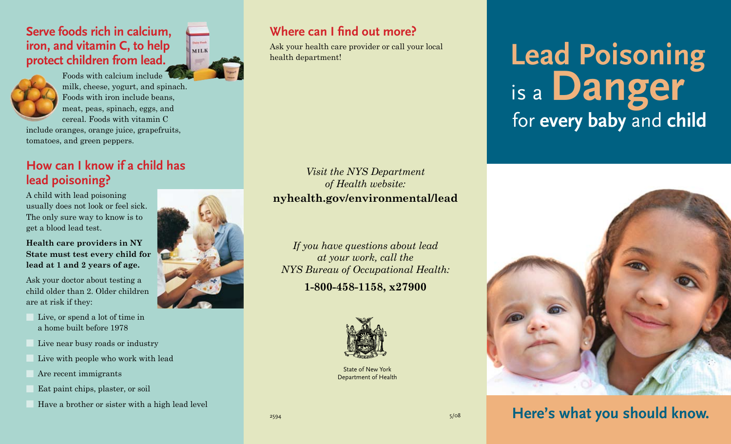#### **Serve foods rich in calcium, iron, and vitamin C, to help protect children from lead.**



Foods with calcium include milk, cheese, yogurt, and spinach. Foods with iron include beans, meat, peas, spinach, eggs, and cereal. Foods with vitamin C

include oranges, orange juice, grapefruits, tomatoes, and green peppers.

#### **How can I know if a child has lead poisoning?**

A child with lead poisoning usually does not look or feel sick. The only sure way to know is to get a blood lead test.

**Health care providers in NY State must test every child for lead at 1 and 2 years of age.**

Ask your doctor about testing a child older than 2. Older children are at risk if they:

- Live, or spend a lot of time in a home built before 1978
- Live near busy roads or industry
- Live with people who work with lead
- Are recent immigrants
- Eat paint chips, plaster, or soil
- Have a brother or sister with a high lead level

**MILK** 

#### **Where can I find out more?**

Ask your health care provider or call your local health department!

*Visit the NYS Department of Health website:* **nyhealth.gov/environmental/lead**

*If you have questions about lead at your work, call the NYS Bureau of Occupational Health:*

**1-800-458-1158, x27900**



State of New York Department of Health

# for **every baby** and **child Lead Poisoning** is <sup>a</sup> **Danger**



### **Here's what you should know.**